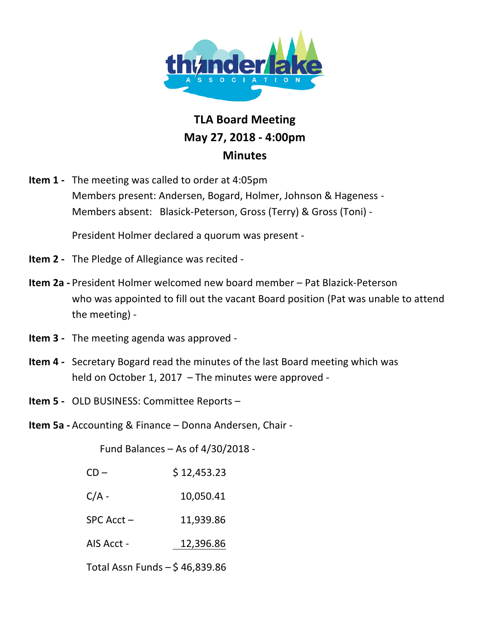

## **TLA!Board!Meeting May!27,!2018 7 4:00pm Minutes**

**Item 1** - The meeting was called to order at 4:05pm Members present: Andersen, Bogard, Holmer, Johnson & Hageness -Members absent: Blasick-Peterson, Gross (Terry) & Gross (Toni) -

President Holmer declared a quorum was present -

- **Item 2** The Pledge of Allegiance was recited -
- **Item 2a** President Holmer welcomed new board member Pat Blazick-Peterson who was appointed to fill out the vacant Board position (Pat was unable to attend the meeting) -
- **Item 3** The meeting agenda was approved -
- **Item 4** Secretary Bogard read the minutes of the last Board meeting which was held on October 1, 2017 – The minutes were approved -
- **Item 5** OLD BUSINESS: Committee Reports –
- **Item 5a** Accounting & Finance Donna Andersen, Chair -

Fund Balances – As of  $4/30/2018$  -

| $CD -$                           | \$12,453.23 |
|----------------------------------|-------------|
| $C/A -$                          | 10,050.41   |
| $SPC$ Acct $-$                   | 11,939.86   |
| AIS Acct -                       | 12,396.86   |
| Total Assn Funds $-$ \$46,839.86 |             |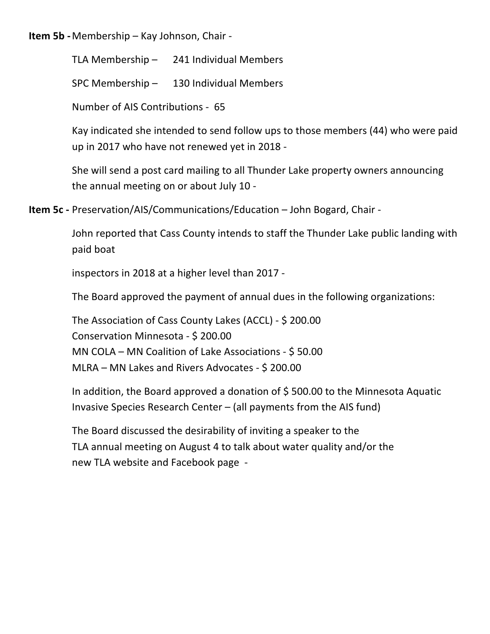**Item 5b** - Membership – Kay Johnson, Chair -

TLA Membership  $-$  241 Individual Members

SPC Membership  $-$  130 Individual Members

Number of AIS Contributions - 65

Kay indicated she intended to send follow ups to those members (44) who were paid up in 2017 who have not renewed yet in 2018 -

She will send a post card mailing to all Thunder Lake property owners announcing the annual meeting on or about July  $10 -$ 

**Item 5c** - Preservation/AIS/Communications/Education – John Bogard, Chair -

John reported that Cass County intends to staff the Thunder Lake public landing with paid boat

inspectors in 2018 at a higher level than 2017 -

The Board approved the payment of annual dues in the following organizations:

The Association of Cass County Lakes (ACCL) - \$ 200.00 Conservation Minnesota - \$200.00 MN COLA – MN Coalition of Lake Associations -  $$50.00$ MLRA – MN Lakes and Rivers Advocates - \$ 200.00

In addition, the Board approved a donation of  $$500.00$  to the Minnesota Aquatic Invasive Species Research Center – (all payments from the AIS fund)

The Board discussed the desirability of inviting a speaker to the TLA annual meeting on August 4 to talk about water quality and/or the new TLA website and Facebook page -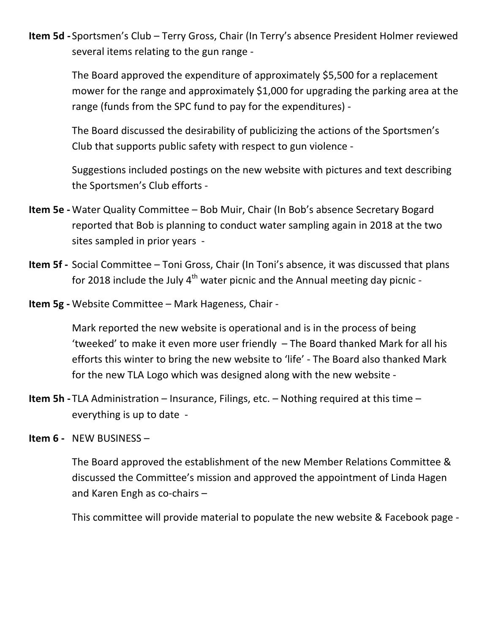**Item 5d** - Sportsmen's Club – Terry Gross, Chair (In Terry's absence President Holmer reviewed several items relating to the gun range -

The Board approved the expenditure of approximately \$5,500 for a replacement mower for the range and approximately \$1,000 for upgrading the parking area at the range (funds from the SPC fund to pay for the expenditures) -

The Board discussed the desirability of publicizing the actions of the Sportsmen's Club that supports public safety with respect to gun violence -

Suggestions included postings on the new website with pictures and text describing the Sportsmen's Club efforts -

- **Item 5e** Water Quality Committee Bob Muir, Chair (In Bob's absence Secretary Bogard reported that Bob is planning to conduct water sampling again in 2018 at the two sites sampled in prior years -
- **Item 5f** Social Committee Toni Gross, Chair (In Toni's absence, it was discussed that plans for 2018 include the July  $4<sup>th</sup>$  water picnic and the Annual meeting day picnic -
- **Item 5g** Website Committee Mark Hageness, Chair -

Mark reported the new website is operational and is in the process of being 'tweeked' to make it even more user friendly  $-$  The Board thanked Mark for all his efforts this winter to bring the new website to 'life' - The Board also thanked Mark for the new TLA Logo which was designed along with the new website -

- **Item 5h** TLA Administration Insurance, Filings, etc. Nothing required at this time everything is up to date  $-$
- **Item 6 NEW BUSINESS**

The Board approved the establishment of the new Member Relations Committee & discussed the Committee's mission and approved the appointment of Linda Hagen and Karen Engh as co-chairs  $-$ 

This committee will provide material to populate the new website & Facebook page -